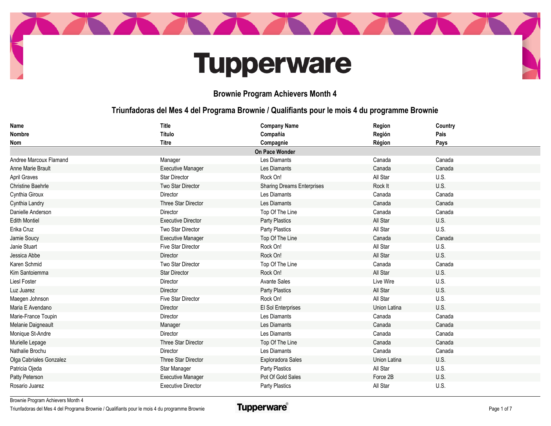

## **Tupperware**

## **Brownie Program Achievers Month 4**

## **Triunfadoras del Mes 4 del Programa Brownie / Qualifiants pour le mois 4 du programme Brownie**

| Name                     | <b>Title</b>              | <b>Company Name</b>               | Region       | Country |
|--------------------------|---------------------------|-----------------------------------|--------------|---------|
| <b>Nombre</b>            | Título                    | Compañia                          | Región       | Pais    |
| Nom                      | <b>Titre</b>              | Compagnie                         | Région       | Pays    |
|                          |                           | On Pace Wonder                    |              |         |
| Andree Marcoux Flamand   | Manager                   | Les Diamants                      | Canada       | Canada  |
| <b>Anne Marie Brault</b> | <b>Executive Manager</b>  | Les Diamants                      | Canada       | Canada  |
| April Graves             | <b>Star Director</b>      | Rock On!                          | All Star     | U.S.    |
| <b>Christine Baehrle</b> | Two Star Director         | <b>Sharing Dreams Enterprises</b> | Rock It      | U.S.    |
| Cynthia Giroux           | Director                  | Les Diamants                      | Canada       | Canada  |
| Cynthia Landry           | Three Star Director       | Les Diamants                      | Canada       | Canada  |
| Danielle Anderson        | Director                  | Top Of The Line                   | Canada       | Canada  |
| <b>Edith Montiel</b>     | <b>Executive Director</b> | <b>Party Plastics</b>             | All Star     | U.S.    |
| Erika Cruz               | Two Star Director         | <b>Party Plastics</b>             | All Star     | U.S.    |
| Jamie Soucy              | <b>Executive Manager</b>  | Top Of The Line                   | Canada       | Canada  |
| Janie Stuart             | Five Star Director        | Rock On!                          | All Star     | U.S.    |
| Jessica Abbe             | <b>Director</b>           | Rock On!                          | All Star     | U.S.    |
| Karen Schmid             | Two Star Director         | Top Of The Line                   | Canada       | Canada  |
| Kim Santoiemma           | <b>Star Director</b>      | Rock On!                          | All Star     | U.S.    |
| <b>Liesl Foster</b>      | Director                  | <b>Avante Sales</b>               | Live Wire    | U.S.    |
| Luz Juarez               | Director                  | <b>Party Plastics</b>             | All Star     | U.S.    |
| Maegen Johnson           | <b>Five Star Director</b> | Rock On!                          | All Star     | U.S.    |
| Maria E Avendano         | Director                  | El Sol Enterprises                | Union Latina | U.S.    |
| Marie-France Toupin      | Director                  | Les Diamants                      | Canada       | Canada  |
| Melanie Daigneault       | Manager                   | Les Diamants                      | Canada       | Canada  |
| Monique St-Andre         | Director                  | Les Diamants                      | Canada       | Canada  |
| Murielle Lepage          | Three Star Director       | Top Of The Line                   | Canada       | Canada  |
| Nathalie Brochu          | Director                  | Les Diamants                      | Canada       | Canada  |
| Olga Cabriales Gonzalez  | Three Star Director       | Exploradora Sales                 | Union Latina | U.S.    |
| Patricia Ojeda           | Star Manager              | <b>Party Plastics</b>             | All Star     | U.S.    |
| Patty Peterson           | <b>Executive Manager</b>  | Pot Of Gold Sales                 | Force 2B     | U.S.    |
| Rosario Juarez           | <b>Executive Director</b> | Party Plastics                    | All Star     | U.S.    |

Brownie Program Achievers Month 4

Triunfadoras del Mes 4 del Programa Brownie / Qualifiants pour le mois 4 du programme Brownie

**Tupperware**®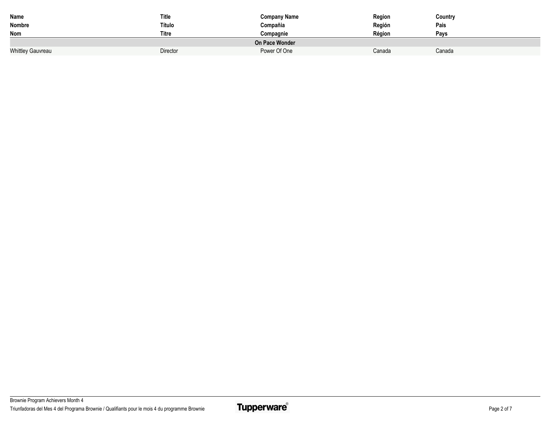| Name                     | Title        | <b>Company Name</b> | Region | Country |  |
|--------------------------|--------------|---------------------|--------|---------|--|
| Nombre                   | Título       | Compañia            | Región | Pais    |  |
| Nom                      | <b>Titre</b> | Compagnie           | Région | Pavs    |  |
| On Pace Wonder           |              |                     |        |         |  |
| <b>Whittley Gauvreau</b> | Director     | Power Of One        | Canada | Canada  |  |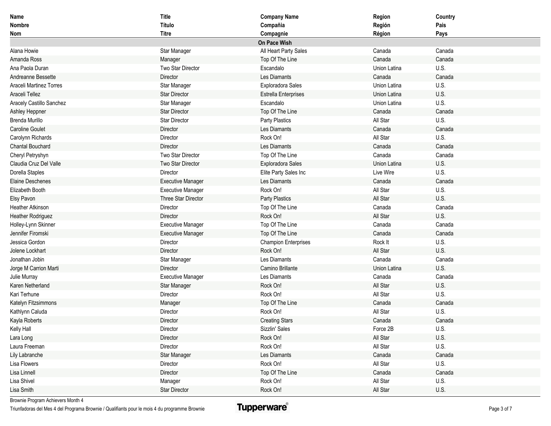| Name                     | <b>Title</b>             | <b>Company Name</b>         | Region       | Country |
|--------------------------|--------------------------|-----------------------------|--------------|---------|
| Nombre                   | Título                   | Compañia                    | Región       | Pais    |
| Nom                      | <b>Titre</b>             | Compagnie                   | Région       | Pays    |
|                          |                          | On Pace Wish                |              |         |
| Alana Howie              | Star Manager             | All Heart Party Sales       | Canada       | Canada  |
| Amanda Ross              | Manager                  | Top Of The Line             | Canada       | Canada  |
| Ana Paola Duran          | Two Star Director        | Escandalo                   | Union Latina | U.S.    |
| Andreanne Bessette       | Director                 | Les Diamants                | Canada       | Canada  |
| Araceli Martinez Torres  | Star Manager             | Exploradora Sales           | Union Latina | U.S.    |
| Araceli Tellez           | <b>Star Director</b>     | <b>Estrella Enterprises</b> | Union Latina | U.S.    |
| Aracely Castillo Sanchez | Star Manager             | Escandalo                   | Union Latina | U.S.    |
| Ashley Heppner           | <b>Star Director</b>     | Top Of The Line             | Canada       | Canada  |
| Brenda Murillo           | <b>Star Director</b>     | Party Plastics              | All Star     | U.S.    |
| <b>Caroline Goulet</b>   | Director                 | Les Diamants                | Canada       | Canada  |
| Carolynn Richards        | Director                 | Rock On!                    | All Star     | U.S.    |
| <b>Chantal Bouchard</b>  | Director                 | Les Diamants                | Canada       | Canada  |
| Cheryl Petryshyn         | Two Star Director        | Top Of The Line             | Canada       | Canada  |
| Claudia Cruz Del Valle   | Two Star Director        | Exploradora Sales           | Union Latina | U.S.    |
| Dorella Staples          | Director                 | Elite Party Sales Inc       | Live Wire    | U.S.    |
| <b>Elaine Deschenes</b>  | <b>Executive Manager</b> | Les Diamants                | Canada       | Canada  |
| Elizabeth Booth          | <b>Executive Manager</b> | Rock On!                    | All Star     | U.S.    |
| Elsy Pavon               | Three Star Director      | Party Plastics              | All Star     | U.S.    |
| <b>Heather Atkinson</b>  | Director                 | Top Of The Line             | Canada       | Canada  |
| <b>Heather Rodriguez</b> | Director                 | Rock On!                    | All Star     | U.S.    |
| Holley-Lynn Skinner      | <b>Executive Manager</b> | Top Of The Line             | Canada       | Canada  |
| Jennifer Firomski        | <b>Executive Manager</b> | Top Of The Line             | Canada       | Canada  |
| Jessica Gordon           | Director                 | <b>Champion Enterprises</b> | Rock It      | U.S.    |
| Jolene Lockhart          | Director                 | Rock On!                    | All Star     | U.S.    |
| Jonathan Jobin           | Star Manager             | Les Diamants                | Canada       | Canada  |
| Jorge M Carrion Marti    | Director                 | Camino Brillante            | Union Latina | U.S.    |
| Julie Murray             | <b>Executive Manager</b> | Les Diamants                | Canada       | Canada  |
| Karen Netherland         | Star Manager             | Rock On!                    | All Star     | U.S.    |
| Kari Terhune             | Director                 | Rock On!                    | All Star     | U.S.    |
| Katelyn Fitzsimmons      | Manager                  | Top Of The Line             | Canada       | Canada  |
| Kathlynn Caluda          | Director                 | Rock On!                    | All Star     | U.S.    |
| Kayla Roberts            | Director                 | <b>Creating Stars</b>       | Canada       | Canada  |
| Kelly Hall               | Director                 | Sizzlin' Sales              | Force 2B     | U.S.    |
| Lara Long                | Director                 | Rock On!                    | All Star     | U.S.    |
| Laura Freeman            | Director                 | Rock On!                    | All Star     | U.S.    |
| Lily Labranche           | Star Manager             | Les Diamants                | Canada       | Canada  |
| Lisa Flowers             | Director                 | Rock On!                    | All Star     | U.S.    |
| Lisa Linnell             | Director                 | Top Of The Line             | Canada       | Canada  |
| Lisa Shivel              | Manager                  | Rock On!                    | All Star     | U.S.    |
| Lisa Smith               | Star Director            | Rock On!                    | All Star     | U.S.    |

Brownie Program Achievers Month 4

Triunfadoras del Mes 4 del Programa Brownie / Qualifiants pour le mois 4 du programme Brownie

**Tupperware**®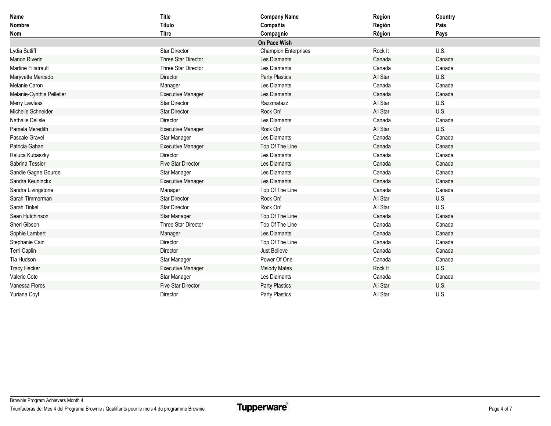| <b>Name</b>                | Title                     | <b>Company Name</b>         | Region   | Country |
|----------------------------|---------------------------|-----------------------------|----------|---------|
| <b>Nombre</b>              | Título                    | Compañia                    | Región   | Pais    |
| Nom                        | <b>Titre</b>              | Compagnie                   | Région   | Pays    |
|                            |                           | On Pace Wish                |          |         |
| Lydia Sutliff              | <b>Star Director</b>      | <b>Champion Enterprises</b> | Rock It  | U.S.    |
| <b>Manon Riverin</b>       | Three Star Director       | Les Diamants                | Canada   | Canada  |
| <b>Martine Filiatrault</b> | Three Star Director       | Les Diamants                | Canada   | Canada  |
| Maryvette Mercado          | Director                  | Party Plastics              | All Star | U.S.    |
| Melanie Caron              | Manager                   | Les Diamants                | Canada   | Canada  |
| Melanie-Cynthia Pelletier  | <b>Executive Manager</b>  | Les Diamants                | Canada   | Canada  |
| Merry Lawless              | <b>Star Director</b>      | Razzmatazz                  | All Star | U.S.    |
| Michelle Schneider         | <b>Star Director</b>      | Rock On!                    | All Star | U.S.    |
| <b>Nathalie Delisle</b>    | Director                  | Les Diamants                | Canada   | Canada  |
| Pamela Meredith            | <b>Executive Manager</b>  | Rock On!                    | All Star | U.S.    |
| Pascale Gravel             | Star Manager              | Les Diamants                | Canada   | Canada  |
| Patricia Gahan             | <b>Executive Manager</b>  | Top Of The Line             | Canada   | Canada  |
| Raluca Kubaszky            | Director                  | Les Diamants                | Canada   | Canada  |
| Sabrina Tessier            | Five Star Director        | Les Diamants                | Canada   | Canada  |
| Sandie Gagne Gourde        | Star Manager              | Les Diamants                | Canada   | Canada  |
| Sandra Keuninckx           | <b>Executive Manager</b>  | Les Diamants                | Canada   | Canada  |
| Sandra Livingstone         | Manager                   | Top Of The Line             | Canada   | Canada  |
| Sarah Timmerman            | <b>Star Director</b>      | Rock On!                    | All Star | U.S.    |
| Sarah Tinkel               | <b>Star Director</b>      | Rock On!                    | All Star | U.S.    |
| Sean Hutchinson            | Star Manager              | Top Of The Line             | Canada   | Canada  |
| Sheri Gibson               | Three Star Director       | Top Of The Line             | Canada   | Canada  |
| Sophie Lambert             | Manager                   | Les Diamants                | Canada   | Canada  |
| Stephanie Cain             | Director                  | Top Of The Line             | Canada   | Canada  |
| Terri Caplin               | Director                  | Just Believe                | Canada   | Canada  |
| Tia Hudson                 | Star Manager              | Power Of One                | Canada   | Canada  |
| <b>Tracy Hecker</b>        | <b>Executive Manager</b>  | <b>Melody Mates</b>         | Rock It  | U.S.    |
| Valerie Cote               | Star Manager              | Les Diamants                | Canada   | Canada  |
| Vanessa Flores             | <b>Five Star Director</b> | Party Plastics              | All Star | U.S.    |
| Yuriana Coyt               | Director                  | Party Plastics              | All Star | U.S.    |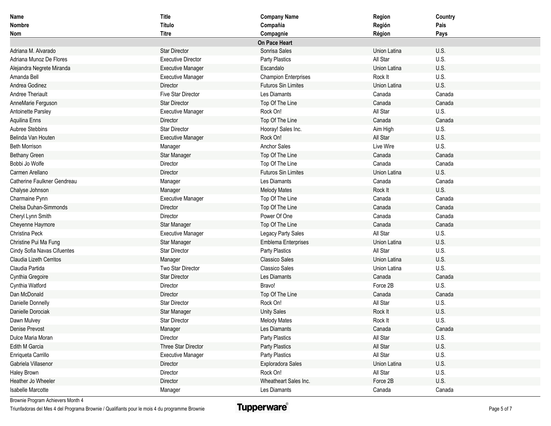| Name                        | <b>Title</b>              | <b>Company Name</b>         | Region       | Country |
|-----------------------------|---------------------------|-----------------------------|--------------|---------|
| Nombre                      | Título                    | Compañia                    | Región       | Pais    |
| Nom                         | <b>Titre</b>              | Compagnie                   | Région       | Pays    |
|                             |                           | On Pace Heart               |              |         |
| Adriana M. Alvarado         | <b>Star Director</b>      | Sonrisa Sales               | Union Latina | U.S.    |
| Adriana Munoz De Flores     | <b>Executive Director</b> | Party Plastics              | All Star     | U.S.    |
| Alejandra Negrete Miranda   | <b>Executive Manager</b>  | Escandalo                   | Union Latina | U.S.    |
| Amanda Bell                 | <b>Executive Manager</b>  | <b>Champion Enterprises</b> | Rock It      | U.S.    |
| Andrea Godinez              | Director                  | <b>Futuros Sin Limites</b>  | Union Latina | U.S.    |
| Andree Theriault            | Five Star Director        | Les Diamants                | Canada       | Canada  |
| AnneMarie Ferguson          | <b>Star Director</b>      | Top Of The Line             | Canada       | Canada  |
| Antoinette Parsley          | <b>Executive Manager</b>  | Rock On!                    | All Star     | U.S.    |
| Aquilina Enns               | Director                  | Top Of The Line             | Canada       | Canada  |
| Aubree Stebbins             | <b>Star Director</b>      | Hooray! Sales Inc.          | Aim High     | U.S.    |
| Belinda Van Houten          | <b>Executive Manager</b>  | Rock On!                    | All Star     | U.S.    |
| <b>Beth Morrison</b>        | Manager                   | <b>Anchor Sales</b>         | Live Wire    | U.S.    |
| <b>Bethany Green</b>        | Star Manager              | Top Of The Line             | Canada       | Canada  |
| Bobbi Jo Wolfe              | Director                  | Top Of The Line             | Canada       | Canada  |
| Carmen Arellano             | Director                  | <b>Futuros Sin Limites</b>  | Union Latina | U.S.    |
| Catherine Faulkner Gendreau | Manager                   | Les Diamants                | Canada       | Canada  |
| Chalyse Johnson             | Manager                   | <b>Melody Mates</b>         | Rock It      | U.S.    |
| Charmaine Pynn              | <b>Executive Manager</b>  | Top Of The Line             | Canada       | Canada  |
| Chelsa Duhan-Simmonds       | Director                  | Top Of The Line             | Canada       | Canada  |
| Cheryl Lynn Smith           | Director                  | Power Of One                | Canada       | Canada  |
| Cheyenne Haymore            | Star Manager              | Top Of The Line             | Canada       | Canada  |
| Christina Peck              | <b>Executive Manager</b>  | Legacy Party Sales          | All Star     | U.S.    |
| Christine Pui Ma Fung       | Star Manager              | <b>Emblema Enterprises</b>  | Union Latina | U.S.    |
| Cindy Sofia Navas Cifuentes | <b>Star Director</b>      | Party Plastics              | All Star     | U.S.    |
| Claudia Lizeth Cerritos     | Manager                   | <b>Classico Sales</b>       | Union Latina | U.S.    |
| Claudia Partida             | Two Star Director         | <b>Classico Sales</b>       | Union Latina | U.S.    |
| Cynthia Gregoire            | <b>Star Director</b>      | Les Diamants                | Canada       | Canada  |
| Cynthia Watford             | Director                  | Bravo!                      | Force 2B     | U.S.    |
| Dan McDonald                | Director                  | Top Of The Line             | Canada       | Canada  |
| Danielle Donnelly           | <b>Star Director</b>      | Rock On!                    | All Star     | U.S.    |
| Danielle Dorociak           | Star Manager              | <b>Unity Sales</b>          | Rock It      | U.S.    |
| Dawn Mulvey                 | <b>Star Director</b>      | <b>Melody Mates</b>         | Rock It      | U.S.    |
| Denise Prevost              | Manager                   | Les Diamants                | Canada       | Canada  |
| Dulce Maria Moran           | Director                  | Party Plastics              | All Star     | U.S.    |
| Edith M Garcia              | Three Star Director       | Party Plastics              | All Star     | U.S.    |
| Enriqueta Carrillo          | <b>Executive Manager</b>  | Party Plastics              | All Star     | U.S.    |
| Gabriela Villasenor         | Director                  | Exploradora Sales           | Union Latina | U.S.    |
| Haley Brown                 | Director                  | Rock On!                    | All Star     | U.S.    |
| Heather Jo Wheeler          | Director                  | Wheatheart Sales Inc.       | Force 2B     | U.S.    |
| Isabelle Marcotte           | Manager                   | Les Diamants                | Canada       | Canada  |

Brownie Program Achievers Month 4

Triunfadoras del Mes 4 del Programa Brownie / Qualifiants pour le mois 4 du programme Brownie

**Tupperware**®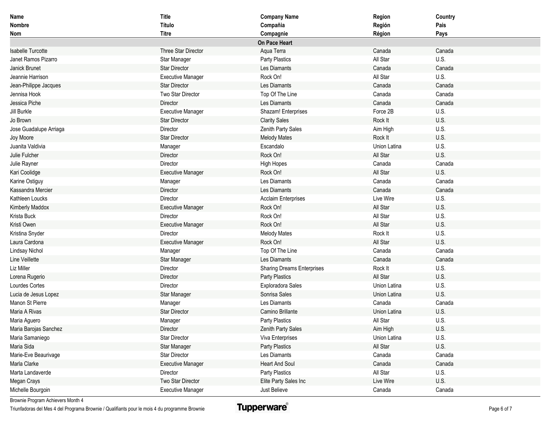| Name                     | <b>Title</b>             | <b>Company Name</b>               | Region       | Country |
|--------------------------|--------------------------|-----------------------------------|--------------|---------|
| <b>Nombre</b>            | Título                   | Compañia                          | Región       | Pais    |
| <b>Nom</b>               | <b>Titre</b>             | Compagnie                         | Région       | Pays    |
|                          |                          | On Pace Heart                     |              |         |
| <b>Isabelle Turcotte</b> | Three Star Director      | Aqua Terra                        | Canada       | Canada  |
| Janet Ramos Pizarro      | Star Manager             | Party Plastics                    | All Star     | U.S.    |
| Janick Brunet            | <b>Star Director</b>     | Les Diamants                      | Canada       | Canada  |
| Jeannie Harrison         | <b>Executive Manager</b> | Rock On!                          | All Star     | U.S.    |
| Jean-Philippe Jacques    | <b>Star Director</b>     | Les Diamants                      | Canada       | Canada  |
| Jennisa Hook             | Two Star Director        | Top Of The Line                   | Canada       | Canada  |
| Jessica Piche            | Director                 | Les Diamants                      | Canada       | Canada  |
| Jill Burkle              | <b>Executive Manager</b> | Shazam! Enterprises               | Force 2B     | U.S.    |
| Jo Brown                 | <b>Star Director</b>     | <b>Clarity Sales</b>              | Rock It      | U.S.    |
| Jose Guadalupe Arriaga   | Director                 | Zenith Party Sales                | Aim High     | U.S.    |
| Joy Moore                | <b>Star Director</b>     | <b>Melody Mates</b>               | Rock It      | U.S.    |
| Juanita Valdivia         | Manager                  | Escandalo                         | Union Latina | U.S.    |
| Julie Fulcher            | Director                 | Rock On!                          | All Star     | U.S.    |
| Julie Rayner             | Director                 | High Hopes                        | Canada       | Canada  |
| Kari Coolidge            | <b>Executive Manager</b> | Rock On!                          | All Star     | U.S.    |
| Karine Ostiguy           | Manager                  | Les Diamants                      | Canada       | Canada  |
| Kassandra Mercier        | Director                 | Les Diamants                      | Canada       | Canada  |
| Kathleen Loucks          | Director                 | <b>Acclaim Enterprises</b>        | Live Wire    | U.S.    |
| <b>Kimberly Maddox</b>   | <b>Executive Manager</b> | Rock On!                          | All Star     | U.S.    |
| Krista Buck              | Director                 | Rock On!                          | All Star     | U.S.    |
| Kristi Owen              | <b>Executive Manager</b> | Rock On!                          | All Star     | U.S.    |
| Kristina Snyder          | Director                 | <b>Melody Mates</b>               | Rock It      | U.S.    |
| Laura Cardona            | <b>Executive Manager</b> | Rock On!                          | All Star     | U.S.    |
| Lindsay Nichol           | Manager                  | Top Of The Line                   | Canada       | Canada  |
| Line Veillette           | Star Manager             | Les Diamants                      | Canada       | Canada  |
| Liz Miller               | Director                 | <b>Sharing Dreams Enterprises</b> | Rock It      | U.S.    |
| Lorena Rugerio           | Director                 | Party Plastics                    | All Star     | U.S.    |
| Lourdes Cortes           | Director                 | Exploradora Sales                 | Union Latina | U.S.    |
| Lucia de Jesus Lopez     | Star Manager             | Sonrisa Sales                     | Union Latina | U.S.    |
| Manon St Pierre          | Manager                  | Les Diamants                      | Canada       | Canada  |
| Maria A Rivas            | <b>Star Director</b>     | Camino Brillante                  | Union Latina | U.S.    |
| Maria Aguero             | Manager                  | Party Plastics                    | All Star     | U.S.    |
| Maria Barojas Sanchez    | Director                 | Zenith Party Sales                | Aim High     | U.S.    |
| Maria Samaniego          | Star Director            | Viva Enterprises                  | Union Latina | U.S.    |
| Maria Sida               | Star Manager             | Party Plastics                    | All Star     | U.S.    |
| Marie-Eve Beaurivage     | Star Director            | Les Diamants                      | Canada       | Canada  |
| Marla Clarke             | <b>Executive Manager</b> | <b>Heart And Soul</b>             | Canada       | Canada  |
| Marta Landaverde         | Director                 | Party Plastics                    | All Star     | U.S.    |
| Megan Crays              | Two Star Director        | Elite Party Sales Inc             | Live Wire    | U.S.    |
| Michelle Bourgoin        | <b>Executive Manager</b> | Just Believe                      | Canada       | Canada  |

Brownie Program Achievers Month 4

Triunfadoras del Mes 4 del Programa Brownie / Qualifiants pour le mois 4 du programme Brownie